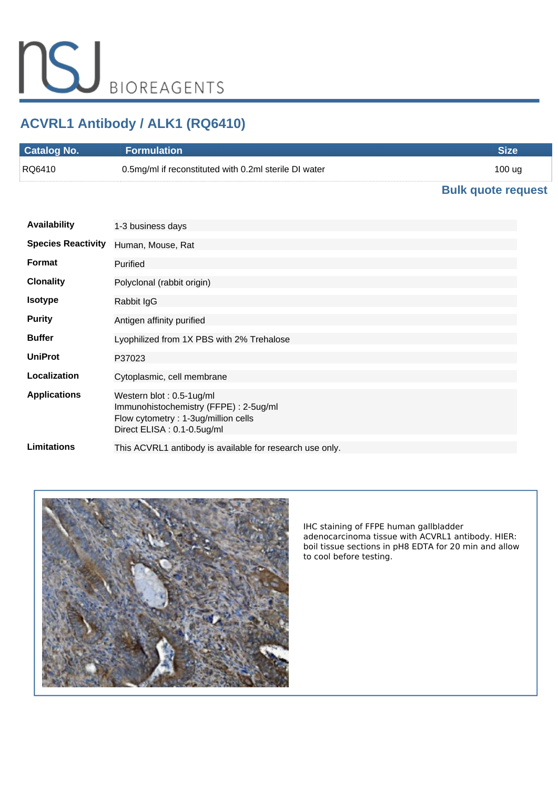# **ACVRL1 Antibody / ALK1 (RQ6410)**

| <b>Catalog No.</b> | Formulation \                                         |        |
|--------------------|-------------------------------------------------------|--------|
| RQ6410             | 0.5mg/ml if reconstituted with 0.2ml sterile DI water | 100 ug |

## **[Bulk quote request](https://www.nsjbio.com/bulk_quotereq.php?root_cat_no=RQ6410)**

| <b>Availability</b>       | 1-3 business days                                                                                                                       |
|---------------------------|-----------------------------------------------------------------------------------------------------------------------------------------|
| <b>Species Reactivity</b> | Human, Mouse, Rat                                                                                                                       |
| <b>Format</b>             | Purified                                                                                                                                |
| <b>Clonality</b>          | Polyclonal (rabbit origin)                                                                                                              |
| <b>Isotype</b>            | Rabbit IgG                                                                                                                              |
| <b>Purity</b>             | Antigen affinity purified                                                                                                               |
| <b>Buffer</b>             | Lyophilized from 1X PBS with 2% Trehalose                                                                                               |
| <b>UniProt</b>            | P37023                                                                                                                                  |
| Localization              | Cytoplasmic, cell membrane                                                                                                              |
| <b>Applications</b>       | Western blot: 0.5-1ug/ml<br>Immunohistochemistry (FFPE): 2-5ug/ml<br>Flow cytometry: 1-3ug/million cells<br>Direct ELISA : 0.1-0.5ug/ml |
| <b>Limitations</b>        | This ACVRL1 antibody is available for research use only.                                                                                |



*IHC staining of FFPE human gallbladder adenocarcinoma tissue with ACVRL1 antibody. HIER: boil tissue sections in pH8 EDTA for 20 min and allow to cool before testing.*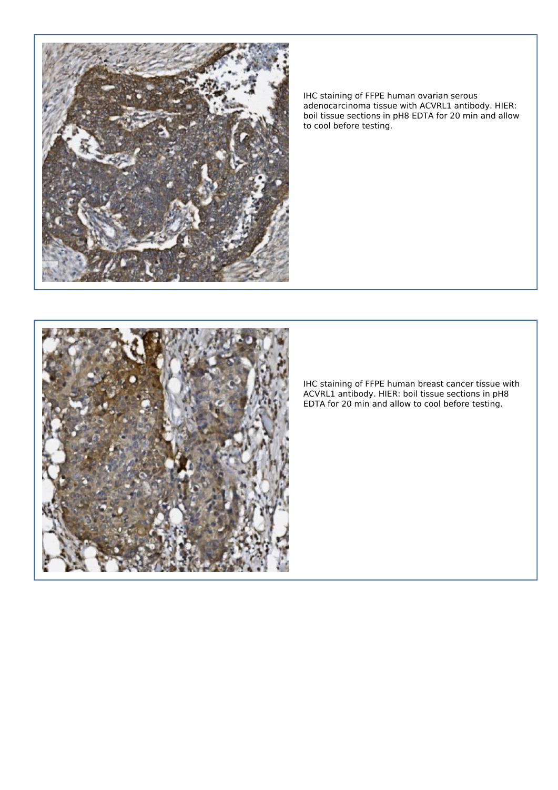

*IHC staining of FFPE human ovarian serous adenocarcinoma tissue with ACVRL1 antibody. HIER: boil tissue sections in pH8 EDTA for 20 min and allow to cool before testing.*



*IHC staining of FFPE human breast cancer tissue with ACVRL1 antibody. HIER: boil tissue sections in pH8 EDTA for 20 min and allow to cool before testing.*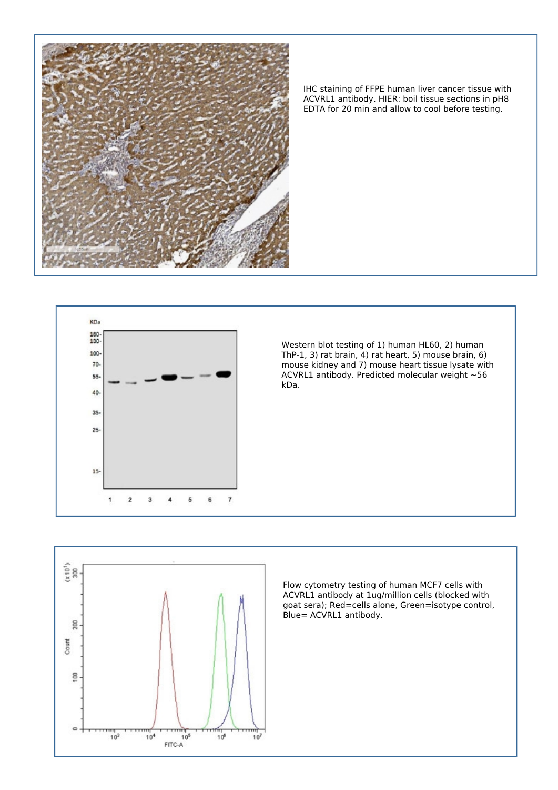

*IHC staining of FFPE human liver cancer tissue with ACVRL1 antibody. HIER: boil tissue sections in pH8 EDTA for 20 min and allow to cool before testing.*



*Western blot testing of 1) human HL60, 2) human ThP-1, 3) rat brain, 4) rat heart, 5) mouse brain, 6) mouse kidney and 7) mouse heart tissue lysate with ACVRL1 antibody. Predicted molecular weight ~56 kDa.*



*Flow cytometry testing of human MCF7 cells with ACVRL1 antibody at 1ug/million cells (blocked with goat sera); Red=cells alone, Green=isotype control, Blue= ACVRL1 antibody.*